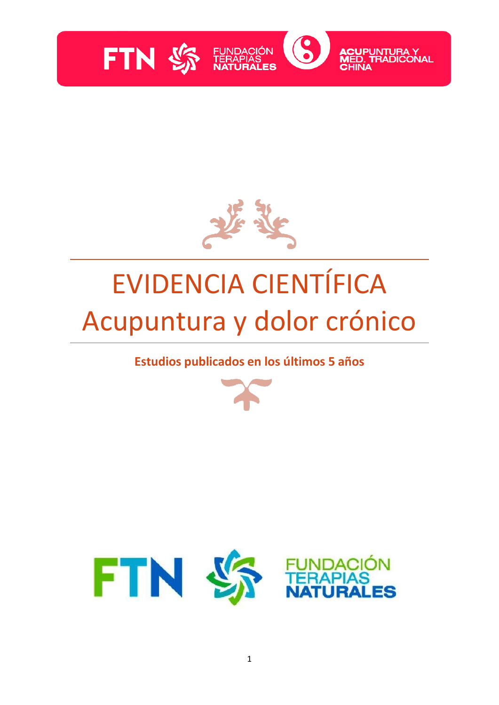



# EVIDENCIA CIENTÍFICA Acupuntura y dolor crónico

**Estudios publicados en los últimos 5 años**



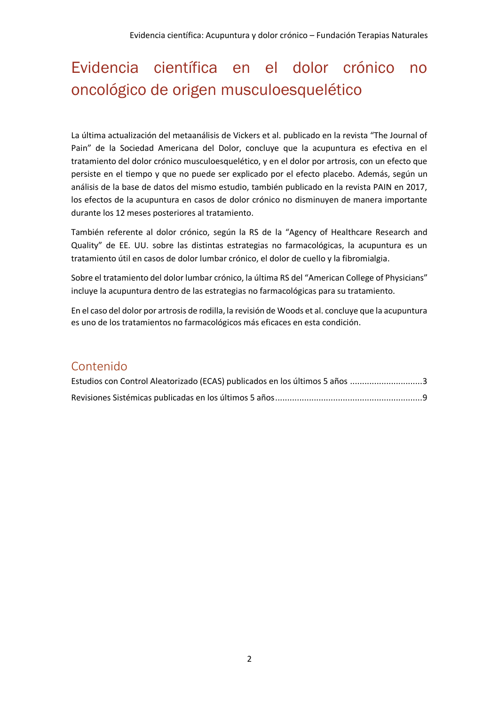# Evidencia científica en el dolor crónico no oncológico de origen musculoesquelético

La última actualización del metaanálisis de Vickers et al. publicado en la revista "The Journal of Pain" de la Sociedad Americana del Dolor, concluye que la acupuntura es efectiva en el tratamiento del dolor crónico musculoesquelético, y en el dolor por artrosis, con un efecto que persiste en el tiempo y que no puede ser explicado por el efecto placebo. Además, según un análisis de la base de datos del mismo estudio, también publicado en la revista PAIN en 2017, los efectos de la acupuntura en casos de dolor crónico no disminuyen de manera importante durante los 12 meses posteriores al tratamiento.

También referente al dolor crónico, según la RS de la "Agency of Healthcare Research and Quality" de EE. UU. sobre las distintas estrategias no farmacológicas, la acupuntura es un tratamiento útil en casos de dolor lumbar crónico, el dolor de cuello y la fibromialgia.

Sobre el tratamiento del dolor lumbar crónico, la última RS del "American College of Physicians" incluye la acupuntura dentro de las estrategias no farmacológicas para su tratamiento.

En el caso del dolor por artrosis de rodilla, la revisión de Woods et al. concluye que la acupuntura es uno de los tratamientos no farmacológicos más eficaces en esta condición.

### Contenido

| Estudios con Control Aleatorizado (ECAS) publicados en los últimos 5 años 3 |  |
|-----------------------------------------------------------------------------|--|
|                                                                             |  |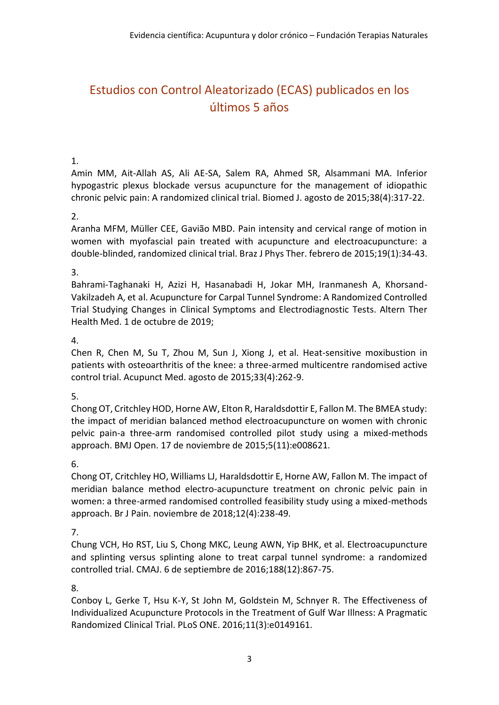## <span id="page-2-0"></span>Estudios con Control Aleatorizado (ECAS) publicados en los últimos 5 años

#### 1.

Amin MM, Ait-Allah AS, Ali AE-SA, Salem RA, Ahmed SR, Alsammani MA. Inferior hypogastric plexus blockade versus acupuncture for the management of idiopathic chronic pelvic pain: A randomized clinical trial. Biomed J. agosto de 2015;38(4):317-22.

#### 2.

Aranha MFM, Müller CEE, Gavião MBD. Pain intensity and cervical range of motion in women with myofascial pain treated with acupuncture and electroacupuncture: a double-blinded, randomized clinical trial. Braz J Phys Ther. febrero de 2015;19(1):34-43.

#### 3.

Bahrami-Taghanaki H, Azizi H, Hasanabadi H, Jokar MH, Iranmanesh A, Khorsand-Vakilzadeh A, et al. Acupuncture for Carpal Tunnel Syndrome: A Randomized Controlled Trial Studying Changes in Clinical Symptoms and Electrodiagnostic Tests. Altern Ther Health Med. 1 de octubre de 2019;

#### 4.

Chen R, Chen M, Su T, Zhou M, Sun J, Xiong J, et al. Heat-sensitive moxibustion in patients with osteoarthritis of the knee: a three-armed multicentre randomised active control trial. Acupunct Med. agosto de 2015;33(4):262-9.

#### 5.

Chong OT, Critchley HOD, Horne AW, Elton R, Haraldsdottir E, Fallon M. The BMEA study: the impact of meridian balanced method electroacupuncture on women with chronic pelvic pain-a three-arm randomised controlled pilot study using a mixed-methods approach. BMJ Open. 17 de noviembre de 2015;5(11):e008621.

#### 6.

Chong OT, Critchley HO, Williams LJ, Haraldsdottir E, Horne AW, Fallon M. The impact of meridian balance method electro-acupuncture treatment on chronic pelvic pain in women: a three-armed randomised controlled feasibility study using a mixed-methods approach. Br J Pain. noviembre de 2018;12(4):238-49.

#### 7.

Chung VCH, Ho RST, Liu S, Chong MKC, Leung AWN, Yip BHK, et al. Electroacupuncture and splinting versus splinting alone to treat carpal tunnel syndrome: a randomized controlled trial. CMAJ. 6 de septiembre de 2016;188(12):867-75.

#### 8.

Conboy L, Gerke T, Hsu K-Y, St John M, Goldstein M, Schnyer R. The Effectiveness of Individualized Acupuncture Protocols in the Treatment of Gulf War Illness: A Pragmatic Randomized Clinical Trial. PLoS ONE. 2016;11(3):e0149161.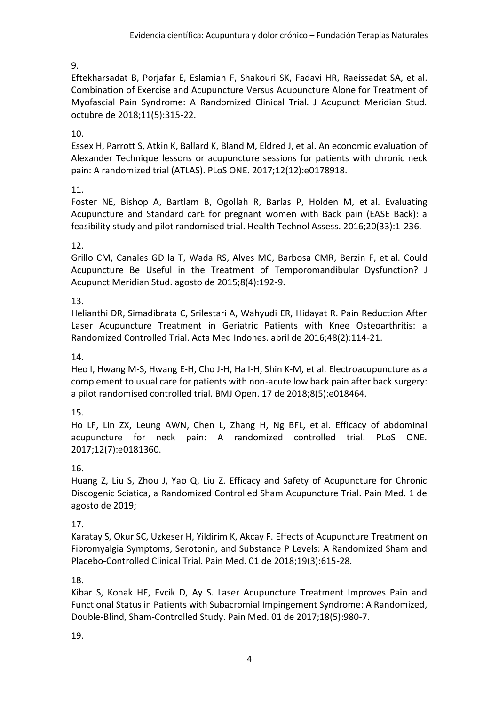Eftekharsadat B, Porjafar E, Eslamian F, Shakouri SK, Fadavi HR, Raeissadat SA, et al. Combination of Exercise and Acupuncture Versus Acupuncture Alone for Treatment of Myofascial Pain Syndrome: A Randomized Clinical Trial. J Acupunct Meridian Stud. octubre de 2018;11(5):315-22.

10.

Essex H, Parrott S, Atkin K, Ballard K, Bland M, Eldred J, et al. An economic evaluation of Alexander Technique lessons or acupuncture sessions for patients with chronic neck pain: A randomized trial (ATLAS). PLoS ONE. 2017;12(12):e0178918.

11.

Foster NE, Bishop A, Bartlam B, Ogollah R, Barlas P, Holden M, et al. Evaluating Acupuncture and Standard carE for pregnant women with Back pain (EASE Back): a feasibility study and pilot randomised trial. Health Technol Assess. 2016;20(33):1-236.

12.

Grillo CM, Canales GD la T, Wada RS, Alves MC, Barbosa CMR, Berzin F, et al. Could Acupuncture Be Useful in the Treatment of Temporomandibular Dysfunction? J Acupunct Meridian Stud. agosto de 2015;8(4):192-9.

13.

Helianthi DR, Simadibrata C, Srilestari A, Wahyudi ER, Hidayat R. Pain Reduction After Laser Acupuncture Treatment in Geriatric Patients with Knee Osteoarthritis: a Randomized Controlled Trial. Acta Med Indones. abril de 2016;48(2):114-21.

14.

Heo I, Hwang M-S, Hwang E-H, Cho J-H, Ha I-H, Shin K-M, et al. Electroacupuncture as a complement to usual care for patients with non-acute low back pain after back surgery: a pilot randomised controlled trial. BMJ Open. 17 de 2018;8(5):e018464.

15.

Ho LF, Lin ZX, Leung AWN, Chen L, Zhang H, Ng BFL, et al. Efficacy of abdominal acupuncture for neck pain: A randomized controlled trial. PLoS ONE. 2017;12(7):e0181360.

16.

Huang Z, Liu S, Zhou J, Yao Q, Liu Z. Efficacy and Safety of Acupuncture for Chronic Discogenic Sciatica, a Randomized Controlled Sham Acupuncture Trial. Pain Med. 1 de agosto de 2019;

17.

Karatay S, Okur SC, Uzkeser H, Yildirim K, Akcay F. Effects of Acupuncture Treatment on Fibromyalgia Symptoms, Serotonin, and Substance P Levels: A Randomized Sham and Placebo-Controlled Clinical Trial. Pain Med. 01 de 2018;19(3):615-28.

18.

Kibar S, Konak HE, Evcik D, Ay S. Laser Acupuncture Treatment Improves Pain and Functional Status in Patients with Subacromial Impingement Syndrome: A Randomized, Double-Blind, Sham-Controlled Study. Pain Med. 01 de 2017;18(5):980-7.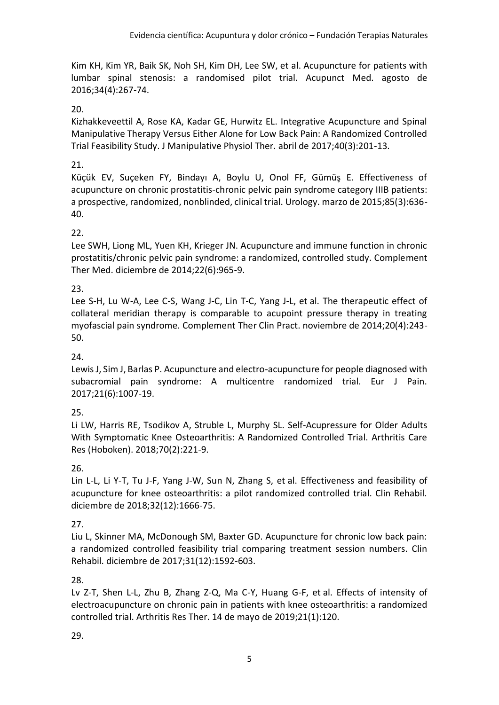Kim KH, Kim YR, Baik SK, Noh SH, Kim DH, Lee SW, et al. Acupuncture for patients with lumbar spinal stenosis: a randomised pilot trial. Acupunct Med. agosto de 2016;34(4):267-74.

#### 20.

Kizhakkeveettil A, Rose KA, Kadar GE, Hurwitz EL. Integrative Acupuncture and Spinal Manipulative Therapy Versus Either Alone for Low Back Pain: A Randomized Controlled Trial Feasibility Study. J Manipulative Physiol Ther. abril de 2017;40(3):201-13.

#### 21.

Küçük EV, Suçeken FY, Bindayı A, Boylu U, Onol FF, Gümüş E. Effectiveness of acupuncture on chronic prostatitis-chronic pelvic pain syndrome category IIIB patients: a prospective, randomized, nonblinded, clinical trial. Urology. marzo de 2015;85(3):636- 40.

#### 22.

Lee SWH, Liong ML, Yuen KH, Krieger JN. Acupuncture and immune function in chronic prostatitis/chronic pelvic pain syndrome: a randomized, controlled study. Complement Ther Med. diciembre de 2014;22(6):965-9.

#### 23.

Lee S-H, Lu W-A, Lee C-S, Wang J-C, Lin T-C, Yang J-L, et al. The therapeutic effect of collateral meridian therapy is comparable to acupoint pressure therapy in treating myofascial pain syndrome. Complement Ther Clin Pract. noviembre de 2014;20(4):243- 50.

#### 24.

Lewis J, Sim J, Barlas P. Acupuncture and electro-acupuncture for people diagnosed with subacromial pain syndrome: A multicentre randomized trial. Eur J Pain. 2017;21(6):1007-19.

#### 25.

Li LW, Harris RE, Tsodikov A, Struble L, Murphy SL. Self-Acupressure for Older Adults With Symptomatic Knee Osteoarthritis: A Randomized Controlled Trial. Arthritis Care Res (Hoboken). 2018;70(2):221-9.

#### 26.

Lin L-L, Li Y-T, Tu J-F, Yang J-W, Sun N, Zhang S, et al. Effectiveness and feasibility of acupuncture for knee osteoarthritis: a pilot randomized controlled trial. Clin Rehabil. diciembre de 2018;32(12):1666-75.

#### 27.

Liu L, Skinner MA, McDonough SM, Baxter GD. Acupuncture for chronic low back pain: a randomized controlled feasibility trial comparing treatment session numbers. Clin Rehabil. diciembre de 2017;31(12):1592-603.

#### 28.

Lv Z-T, Shen L-L, Zhu B, Zhang Z-Q, Ma C-Y, Huang G-F, et al. Effects of intensity of electroacupuncture on chronic pain in patients with knee osteoarthritis: a randomized controlled trial. Arthritis Res Ther. 14 de mayo de 2019;21(1):120.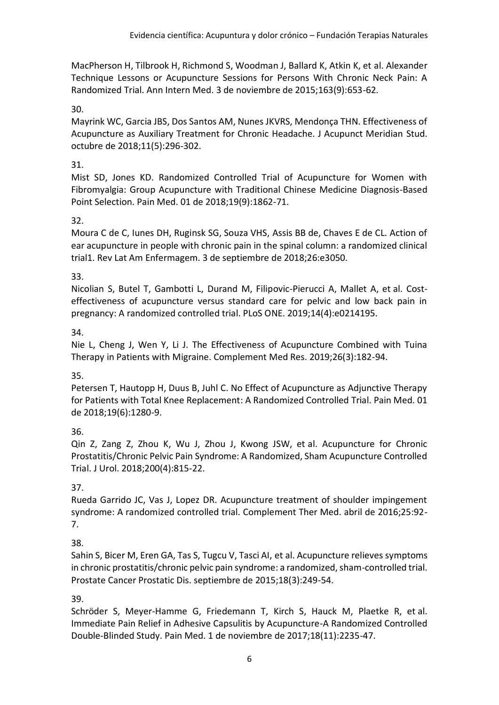MacPherson H, Tilbrook H, Richmond S, Woodman J, Ballard K, Atkin K, et al. Alexander Technique Lessons or Acupuncture Sessions for Persons With Chronic Neck Pain: A Randomized Trial. Ann Intern Med. 3 de noviembre de 2015;163(9):653-62.

#### 30.

Mayrink WC, Garcia JBS, Dos Santos AM, Nunes JKVRS, Mendonça THN. Effectiveness of Acupuncture as Auxiliary Treatment for Chronic Headache. J Acupunct Meridian Stud. octubre de 2018;11(5):296-302.

#### 31.

Mist SD, Jones KD. Randomized Controlled Trial of Acupuncture for Women with Fibromyalgia: Group Acupuncture with Traditional Chinese Medicine Diagnosis-Based Point Selection. Pain Med. 01 de 2018;19(9):1862-71.

#### 32.

Moura C de C, Iunes DH, Ruginsk SG, Souza VHS, Assis BB de, Chaves E de CL. Action of ear acupuncture in people with chronic pain in the spinal column: a randomized clinical trial1. Rev Lat Am Enfermagem. 3 de septiembre de 2018;26:e3050.

#### 33.

Nicolian S, Butel T, Gambotti L, Durand M, Filipovic-Pierucci A, Mallet A, et al. Costeffectiveness of acupuncture versus standard care for pelvic and low back pain in pregnancy: A randomized controlled trial. PLoS ONE. 2019;14(4):e0214195.

#### 34.

Nie L, Cheng J, Wen Y, Li J. The Effectiveness of Acupuncture Combined with Tuina Therapy in Patients with Migraine. Complement Med Res. 2019;26(3):182-94.

#### 35.

Petersen T, Hautopp H, Duus B, Juhl C. No Effect of Acupuncture as Adjunctive Therapy for Patients with Total Knee Replacement: A Randomized Controlled Trial. Pain Med. 01 de 2018;19(6):1280-9.

#### 36.

Qin Z, Zang Z, Zhou K, Wu J, Zhou J, Kwong JSW, et al. Acupuncture for Chronic Prostatitis/Chronic Pelvic Pain Syndrome: A Randomized, Sham Acupuncture Controlled Trial. J Urol. 2018;200(4):815-22.

#### 37.

Rueda Garrido JC, Vas J, Lopez DR. Acupuncture treatment of shoulder impingement syndrome: A randomized controlled trial. Complement Ther Med. abril de 2016;25:92- 7.

#### 38.

Sahin S, Bicer M, Eren GA, Tas S, Tugcu V, Tasci AI, et al. Acupuncture relieves symptoms in chronic prostatitis/chronic pelvic pain syndrome: a randomized, sham-controlled trial. Prostate Cancer Prostatic Dis. septiembre de 2015;18(3):249-54.

#### 39.

Schröder S, Meyer-Hamme G, Friedemann T, Kirch S, Hauck M, Plaetke R, et al. Immediate Pain Relief in Adhesive Capsulitis by Acupuncture-A Randomized Controlled Double-Blinded Study. Pain Med. 1 de noviembre de 2017;18(11):2235-47.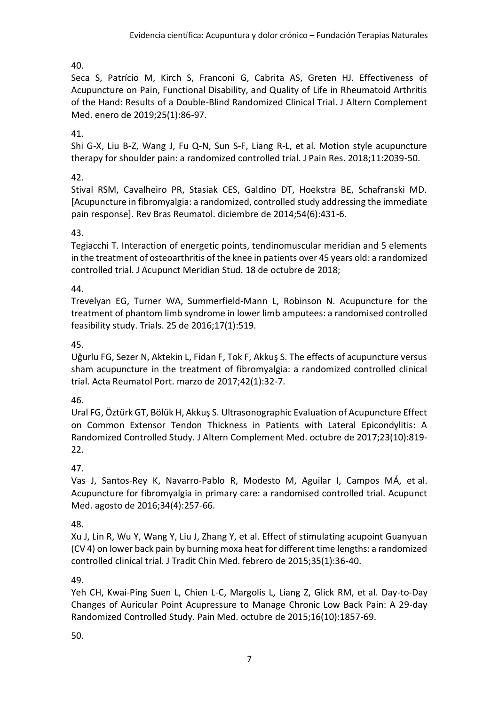Seca S, Patrício M, Kirch S, Franconi G, Cabrita AS, Greten HJ. Effectiveness of Acupuncture on Pain, Functional Disability, and Quality of Life in Rheumatoid Arthritis of the Hand: Results of a Double-Blind Randomized Clinical Trial. J Altern Complement Med. enero de 2019;25(1):86-97.

#### 41.

Shi G-X, Liu B-Z, Wang J, Fu Q-N, Sun S-F, Liang R-L, et al. Motion style acupuncture therapy for shoulder pain: a randomized controlled trial. J Pain Res. 2018;11:2039-50.

#### 42.

Stival RSM, Cavalheiro PR, Stasiak CES, Galdino DT, Hoekstra BE, Schafranski MD. [Acupuncture in fibromyalgia: a randomized, controlled study addressing the immediate pain response]. Rev Bras Reumatol. diciembre de 2014;54(6):431-6.

#### 43.

Tegiacchi T. Interaction of energetic points, tendinomuscular meridian and 5 elements in the treatment of osteoarthritis of the knee in patients over 45 years old: a randomized controlled trial. J Acupunct Meridian Stud. 18 de octubre de 2018;

#### 44.

Trevelyan EG, Turner WA, Summerfield-Mann L, Robinson N. Acupuncture for the treatment of phantom limb syndrome in lower limb amputees: a randomised controlled feasibility study. Trials. 25 de 2016;17(1):519.

#### 45.

Uğurlu FG, Sezer N, Aktekin L, Fidan F, Tok F, Akkuş S. The effects of acupuncture versus sham acupuncture in the treatment of fibromyalgia: a randomized controlled clinical trial. Acta Reumatol Port. marzo de 2017;42(1):32-7.

#### 46.

Ural FG, Öztürk GT, Bölük H, Akkuş S. Ultrasonographic Evaluation of Acupuncture Effect on Common Extensor Tendon Thickness in Patients with Lateral Epicondylitis: A Randomized Controlled Study. J Altern Complement Med. octubre de 2017;23(10):819- 22.

#### 47.

Vas J, Santos-Rey K, Navarro-Pablo R, Modesto M, Aguilar I, Campos MÁ, et al. Acupuncture for fibromyalgia in primary care: a randomised controlled trial. Acupunct Med. agosto de 2016;34(4):257-66.

#### 48.

Xu J, Lin R, Wu Y, Wang Y, Liu J, Zhang Y, et al. Effect of stimulating acupoint Guanyuan (CV 4) on lower back pain by burning moxa heat for different time lengths: a randomized controlled clinical trial. J Tradit Chin Med. febrero de 2015;35(1):36-40.

#### 49.

Yeh CH, Kwai-Ping Suen L, Chien L-C, Margolis L, Liang Z, Glick RM, et al. Day-to-Day Changes of Auricular Point Acupressure to Manage Chronic Low Back Pain: A 29-day Randomized Controlled Study. Pain Med. octubre de 2015;16(10):1857-69.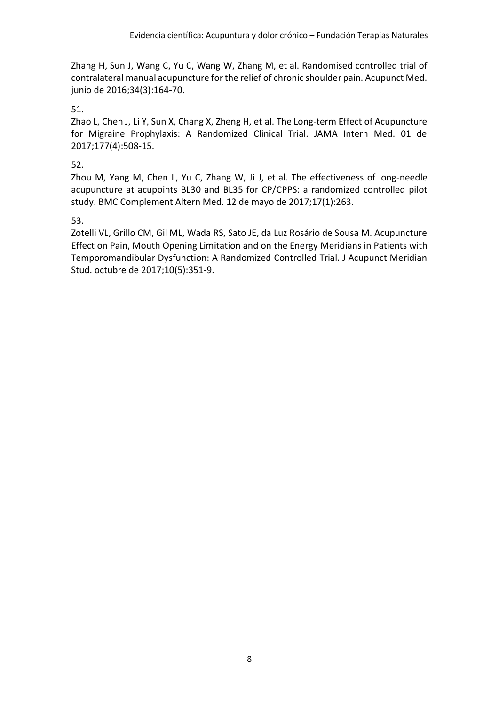Zhang H, Sun J, Wang C, Yu C, Wang W, Zhang M, et al. Randomised controlled trial of contralateral manual acupuncture for the relief of chronic shoulder pain. Acupunct Med. junio de 2016;34(3):164-70.

#### 51.

Zhao L, Chen J, Li Y, Sun X, Chang X, Zheng H, et al. The Long-term Effect of Acupuncture for Migraine Prophylaxis: A Randomized Clinical Trial. JAMA Intern Med. 01 de 2017;177(4):508-15.

#### 52.

Zhou M, Yang M, Chen L, Yu C, Zhang W, Ji J, et al. The effectiveness of long-needle acupuncture at acupoints BL30 and BL35 for CP/CPPS: a randomized controlled pilot study. BMC Complement Altern Med. 12 de mayo de 2017;17(1):263.

#### 53.

<span id="page-7-0"></span>Zotelli VL, Grillo CM, Gil ML, Wada RS, Sato JE, da Luz Rosário de Sousa M. Acupuncture Effect on Pain, Mouth Opening Limitation and on the Energy Meridians in Patients with Temporomandibular Dysfunction: A Randomized Controlled Trial. J Acupunct Meridian Stud. octubre de 2017;10(5):351-9.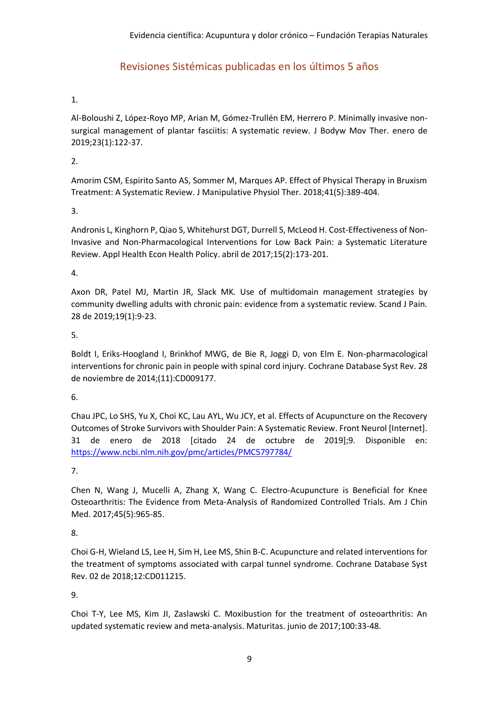#### Revisiones Sistémicas publicadas en los últimos 5 años

#### 1.

Al-Boloushi Z, López-Royo MP, Arian M, Gómez-Trullén EM, Herrero P. Minimally invasive nonsurgical management of plantar fasciitis: A systematic review. J Bodyw Mov Ther. enero de 2019;23(1):122-37.

2.

Amorim CSM, Espirito Santo AS, Sommer M, Marques AP. Effect of Physical Therapy in Bruxism Treatment: A Systematic Review. J Manipulative Physiol Ther. 2018;41(5):389-404.

3.

Andronis L, Kinghorn P, Qiao S, Whitehurst DGT, Durrell S, McLeod H. Cost-Effectiveness of Non-Invasive and Non-Pharmacological Interventions for Low Back Pain: a Systematic Literature Review. Appl Health Econ Health Policy. abril de 2017;15(2):173-201.

4.

Axon DR, Patel MJ, Martin JR, Slack MK. Use of multidomain management strategies by community dwelling adults with chronic pain: evidence from a systematic review. Scand J Pain. 28 de 2019;19(1):9-23.

5.

Boldt I, Eriks-Hoogland I, Brinkhof MWG, de Bie R, Joggi D, von Elm E. Non-pharmacological interventions for chronic pain in people with spinal cord injury. Cochrane Database Syst Rev. 28 de noviembre de 2014;(11):CD009177.

6.

Chau JPC, Lo SHS, Yu X, Choi KC, Lau AYL, Wu JCY, et al. Effects of Acupuncture on the Recovery Outcomes of Stroke Survivors with Shoulder Pain: A Systematic Review. Front Neurol [Internet]. 31 de enero de 2018 [citado 24 de octubre de 2019];9. Disponible en: <https://www.ncbi.nlm.nih.gov/pmc/articles/PMC5797784/>

7.

Chen N, Wang J, Mucelli A, Zhang X, Wang C. Electro-Acupuncture is Beneficial for Knee Osteoarthritis: The Evidence from Meta-Analysis of Randomized Controlled Trials. Am J Chin Med. 2017;45(5):965-85.

8.

Choi G-H, Wieland LS, Lee H, Sim H, Lee MS, Shin B-C. Acupuncture and related interventions for the treatment of symptoms associated with carpal tunnel syndrome. Cochrane Database Syst Rev. 02 de 2018;12:CD011215.

9.

Choi T-Y, Lee MS, Kim JI, Zaslawski C. Moxibustion for the treatment of osteoarthritis: An updated systematic review and meta-analysis. Maturitas. junio de 2017;100:33-48.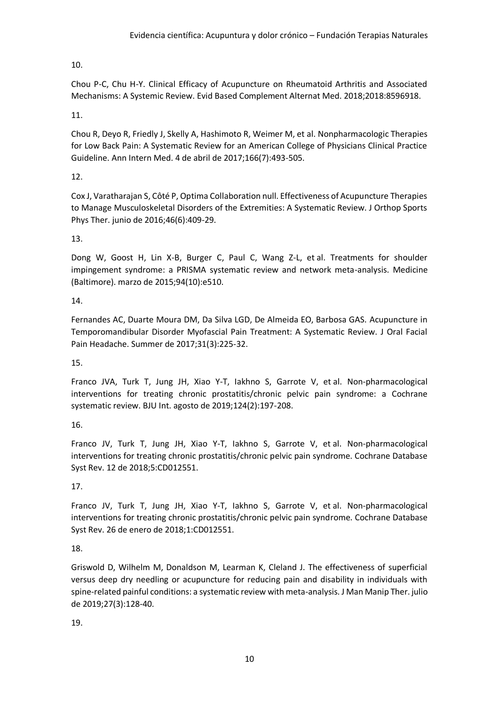Chou P-C, Chu H-Y. Clinical Efficacy of Acupuncture on Rheumatoid Arthritis and Associated Mechanisms: A Systemic Review. Evid Based Complement Alternat Med. 2018;2018:8596918.

11.

Chou R, Deyo R, Friedly J, Skelly A, Hashimoto R, Weimer M, et al. Nonpharmacologic Therapies for Low Back Pain: A Systematic Review for an American College of Physicians Clinical Practice Guideline. Ann Intern Med. 4 de abril de 2017;166(7):493-505.

12.

Cox J, Varatharajan S, Côté P, Optima Collaboration null. Effectiveness of Acupuncture Therapies to Manage Musculoskeletal Disorders of the Extremities: A Systematic Review. J Orthop Sports Phys Ther. junio de 2016;46(6):409-29.

13.

Dong W, Goost H, Lin X-B, Burger C, Paul C, Wang Z-L, et al. Treatments for shoulder impingement syndrome: a PRISMA systematic review and network meta-analysis. Medicine (Baltimore). marzo de 2015;94(10):e510.

#### 14.

Fernandes AC, Duarte Moura DM, Da Silva LGD, De Almeida EO, Barbosa GAS. Acupuncture in Temporomandibular Disorder Myofascial Pain Treatment: A Systematic Review. J Oral Facial Pain Headache. Summer de 2017;31(3):225-32.

15.

Franco JVA, Turk T, Jung JH, Xiao Y-T, Iakhno S, Garrote V, et al. Non-pharmacological interventions for treating chronic prostatitis/chronic pelvic pain syndrome: a Cochrane systematic review. BJU Int. agosto de 2019;124(2):197-208.

16.

Franco JV, Turk T, Jung JH, Xiao Y-T, Iakhno S, Garrote V, et al. Non-pharmacological interventions for treating chronic prostatitis/chronic pelvic pain syndrome. Cochrane Database Syst Rev. 12 de 2018;5:CD012551.

17.

Franco JV, Turk T, Jung JH, Xiao Y-T, Iakhno S, Garrote V, et al. Non-pharmacological interventions for treating chronic prostatitis/chronic pelvic pain syndrome. Cochrane Database Syst Rev. 26 de enero de 2018;1:CD012551.

18.

Griswold D, Wilhelm M, Donaldson M, Learman K, Cleland J. The effectiveness of superficial versus deep dry needling or acupuncture for reducing pain and disability in individuals with spine-related painful conditions: a systematic review with meta-analysis. J Man Manip Ther. julio de 2019;27(3):128-40.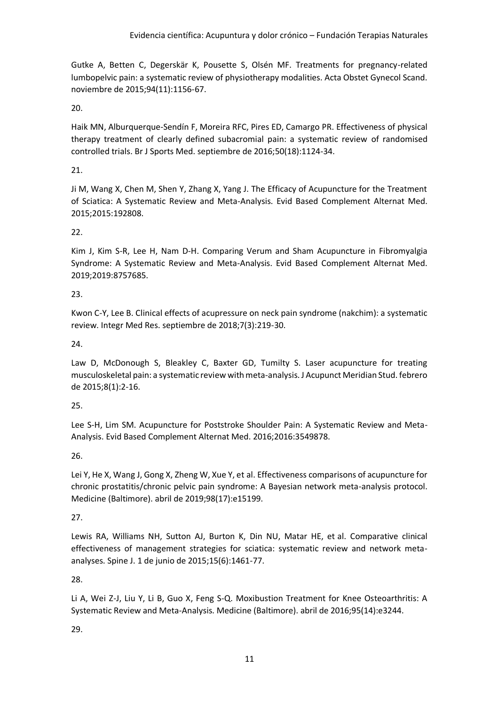Gutke A, Betten C, Degerskär K, Pousette S, Olsén MF. Treatments for pregnancy-related lumbopelvic pain: a systematic review of physiotherapy modalities. Acta Obstet Gynecol Scand. noviembre de 2015;94(11):1156-67.

20.

Haik MN, Alburquerque-Sendín F, Moreira RFC, Pires ED, Camargo PR. Effectiveness of physical therapy treatment of clearly defined subacromial pain: a systematic review of randomised controlled trials. Br J Sports Med. septiembre de 2016;50(18):1124-34.

21.

Ji M, Wang X, Chen M, Shen Y, Zhang X, Yang J. The Efficacy of Acupuncture for the Treatment of Sciatica: A Systematic Review and Meta-Analysis. Evid Based Complement Alternat Med. 2015;2015:192808.

22.

Kim J, Kim S-R, Lee H, Nam D-H. Comparing Verum and Sham Acupuncture in Fibromyalgia Syndrome: A Systematic Review and Meta-Analysis. Evid Based Complement Alternat Med. 2019;2019:8757685.

#### 23.

Kwon C-Y, Lee B. Clinical effects of acupressure on neck pain syndrome (nakchim): a systematic review. Integr Med Res. septiembre de 2018;7(3):219-30.

24.

Law D, McDonough S, Bleakley C, Baxter GD, Tumilty S. Laser acupuncture for treating musculoskeletal pain: a systematic review with meta-analysis. J Acupunct Meridian Stud. febrero de 2015;8(1):2-16.

25.

Lee S-H, Lim SM. Acupuncture for Poststroke Shoulder Pain: A Systematic Review and Meta-Analysis. Evid Based Complement Alternat Med. 2016;2016:3549878.

26.

Lei Y, He X, Wang J, Gong X, Zheng W, Xue Y, et al. Effectiveness comparisons of acupuncture for chronic prostatitis/chronic pelvic pain syndrome: A Bayesian network meta-analysis protocol. Medicine (Baltimore). abril de 2019;98(17):e15199.

27.

Lewis RA, Williams NH, Sutton AJ, Burton K, Din NU, Matar HE, et al. Comparative clinical effectiveness of management strategies for sciatica: systematic review and network metaanalyses. Spine J. 1 de junio de 2015;15(6):1461-77.

28.

Li A, Wei Z-J, Liu Y, Li B, Guo X, Feng S-Q. Moxibustion Treatment for Knee Osteoarthritis: A Systematic Review and Meta-Analysis. Medicine (Baltimore). abril de 2016;95(14):e3244.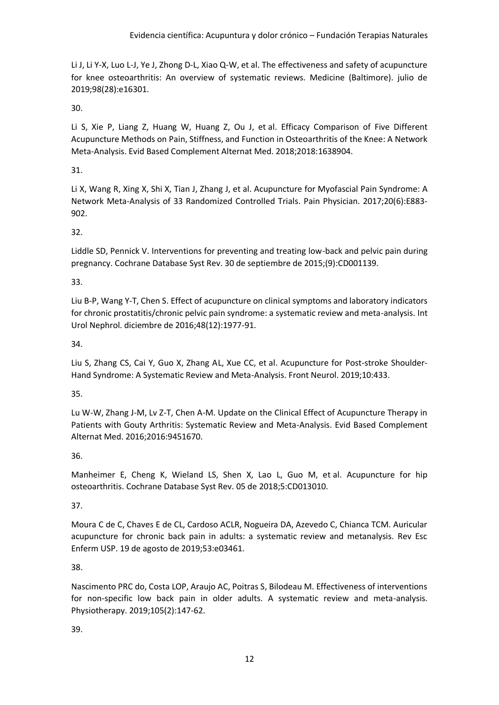Li J, Li Y-X, Luo L-J, Ye J, Zhong D-L, Xiao Q-W, et al. The effectiveness and safety of acupuncture for knee osteoarthritis: An overview of systematic reviews. Medicine (Baltimore). julio de 2019;98(28):e16301.

30.

Li S, Xie P, Liang Z, Huang W, Huang Z, Ou J, et al. Efficacy Comparison of Five Different Acupuncture Methods on Pain, Stiffness, and Function in Osteoarthritis of the Knee: A Network Meta-Analysis. Evid Based Complement Alternat Med. 2018;2018:1638904.

31.

Li X, Wang R, Xing X, Shi X, Tian J, Zhang J, et al. Acupuncture for Myofascial Pain Syndrome: A Network Meta-Analysis of 33 Randomized Controlled Trials. Pain Physician. 2017;20(6):E883- 902.

32.

Liddle SD, Pennick V. Interventions for preventing and treating low-back and pelvic pain during pregnancy. Cochrane Database Syst Rev. 30 de septiembre de 2015;(9):CD001139.

33.

Liu B-P, Wang Y-T, Chen S. Effect of acupuncture on clinical symptoms and laboratory indicators for chronic prostatitis/chronic pelvic pain syndrome: a systematic review and meta-analysis. Int Urol Nephrol. diciembre de 2016;48(12):1977-91.

34.

Liu S, Zhang CS, Cai Y, Guo X, Zhang AL, Xue CC, et al. Acupuncture for Post-stroke Shoulder-Hand Syndrome: A Systematic Review and Meta-Analysis. Front Neurol. 2019;10:433.

35.

Lu W-W, Zhang J-M, Lv Z-T, Chen A-M. Update on the Clinical Effect of Acupuncture Therapy in Patients with Gouty Arthritis: Systematic Review and Meta-Analysis. Evid Based Complement Alternat Med. 2016;2016:9451670.

36.

Manheimer E, Cheng K, Wieland LS, Shen X, Lao L, Guo M, et al. Acupuncture for hip osteoarthritis. Cochrane Database Syst Rev. 05 de 2018;5:CD013010.

37.

Moura C de C, Chaves E de CL, Cardoso ACLR, Nogueira DA, Azevedo C, Chianca TCM. Auricular acupuncture for chronic back pain in adults: a systematic review and metanalysis. Rev Esc Enferm USP. 19 de agosto de 2019;53:e03461.

38.

Nascimento PRC do, Costa LOP, Araujo AC, Poitras S, Bilodeau M. Effectiveness of interventions for non-specific low back pain in older adults. A systematic review and meta-analysis. Physiotherapy. 2019;105(2):147-62.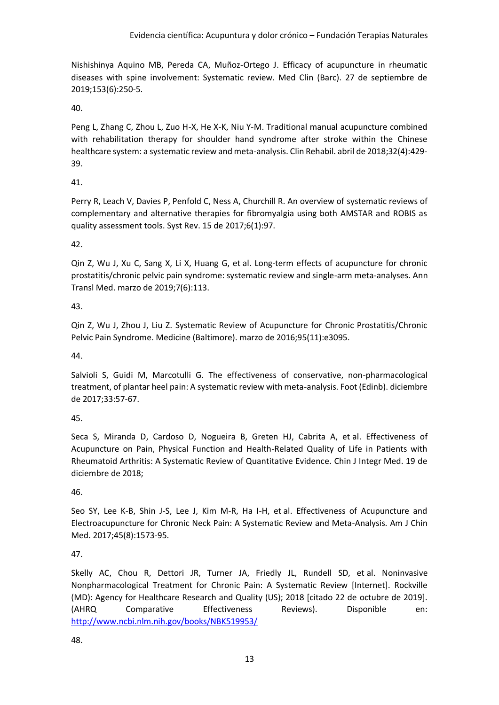Nishishinya Aquino MB, Pereda CA, Muñoz-Ortego J. Efficacy of acupuncture in rheumatic diseases with spine involvement: Systematic review. Med Clin (Barc). 27 de septiembre de 2019;153(6):250-5.

40.

Peng L, Zhang C, Zhou L, Zuo H-X, He X-K, Niu Y-M. Traditional manual acupuncture combined with rehabilitation therapy for shoulder hand syndrome after stroke within the Chinese healthcare system: a systematic review and meta-analysis. Clin Rehabil. abril de 2018;32(4):429- 39.

41.

Perry R, Leach V, Davies P, Penfold C, Ness A, Churchill R. An overview of systematic reviews of complementary and alternative therapies for fibromyalgia using both AMSTAR and ROBIS as quality assessment tools. Syst Rev. 15 de 2017;6(1):97.

42.

Qin Z, Wu J, Xu C, Sang X, Li X, Huang G, et al. Long-term effects of acupuncture for chronic prostatitis/chronic pelvic pain syndrome: systematic review and single-arm meta-analyses. Ann Transl Med. marzo de 2019;7(6):113.

#### 43.

Qin Z, Wu J, Zhou J, Liu Z. Systematic Review of Acupuncture for Chronic Prostatitis/Chronic Pelvic Pain Syndrome. Medicine (Baltimore). marzo de 2016;95(11):e3095.

44.

Salvioli S, Guidi M, Marcotulli G. The effectiveness of conservative, non-pharmacological treatment, of plantar heel pain: A systematic review with meta-analysis. Foot (Edinb). diciembre de 2017;33:57-67.

45.

Seca S, Miranda D, Cardoso D, Nogueira B, Greten HJ, Cabrita A, et al. Effectiveness of Acupuncture on Pain, Physical Function and Health-Related Quality of Life in Patients with Rheumatoid Arthritis: A Systematic Review of Quantitative Evidence. Chin J Integr Med. 19 de diciembre de 2018;

46.

Seo SY, Lee K-B, Shin J-S, Lee J, Kim M-R, Ha I-H, et al. Effectiveness of Acupuncture and Electroacupuncture for Chronic Neck Pain: A Systematic Review and Meta-Analysis. Am J Chin Med. 2017;45(8):1573-95.

47.

Skelly AC, Chou R, Dettori JR, Turner JA, Friedly JL, Rundell SD, et al. Noninvasive Nonpharmacological Treatment for Chronic Pain: A Systematic Review [Internet]. Rockville (MD): Agency for Healthcare Research and Quality (US); 2018 [citado 22 de octubre de 2019]. (AHRQ Comparative Effectiveness Reviews). Disponible en: <http://www.ncbi.nlm.nih.gov/books/NBK519953/>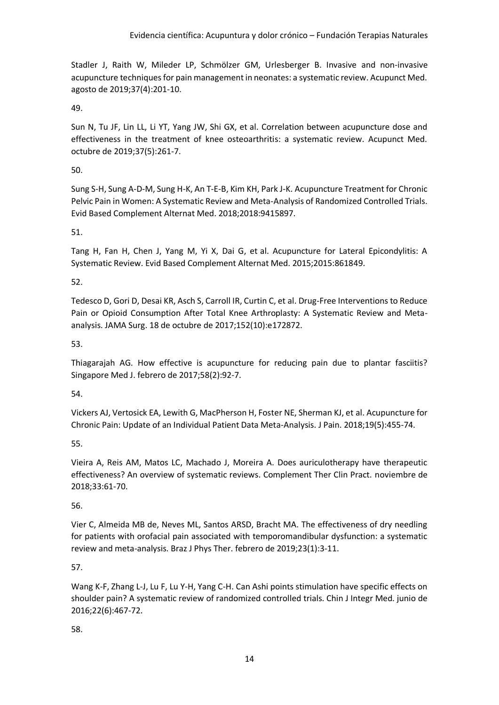Stadler J, Raith W, Mileder LP, Schmölzer GM, Urlesberger B. Invasive and non-invasive acupuncture techniques for pain management in neonates: a systematic review. Acupunct Med. agosto de 2019;37(4):201-10.

49.

Sun N, Tu JF, Lin LL, Li YT, Yang JW, Shi GX, et al. Correlation between acupuncture dose and effectiveness in the treatment of knee osteoarthritis: a systematic review. Acupunct Med. octubre de 2019;37(5):261-7.

50.

Sung S-H, Sung A-D-M, Sung H-K, An T-E-B, Kim KH, Park J-K. Acupuncture Treatment for Chronic Pelvic Pain in Women: A Systematic Review and Meta-Analysis of Randomized Controlled Trials. Evid Based Complement Alternat Med. 2018;2018:9415897.

51.

Tang H, Fan H, Chen J, Yang M, Yi X, Dai G, et al. Acupuncture for Lateral Epicondylitis: A Systematic Review. Evid Based Complement Alternat Med. 2015;2015:861849.

52.

Tedesco D, Gori D, Desai KR, Asch S, Carroll IR, Curtin C, et al. Drug-Free Interventions to Reduce Pain or Opioid Consumption After Total Knee Arthroplasty: A Systematic Review and Metaanalysis. JAMA Surg. 18 de octubre de 2017;152(10):e172872.

53.

Thiagarajah AG. How effective is acupuncture for reducing pain due to plantar fasciitis? Singapore Med J. febrero de 2017;58(2):92-7.

54.

Vickers AJ, Vertosick EA, Lewith G, MacPherson H, Foster NE, Sherman KJ, et al. Acupuncture for Chronic Pain: Update of an Individual Patient Data Meta-Analysis. J Pain. 2018;19(5):455-74.

55.

Vieira A, Reis AM, Matos LC, Machado J, Moreira A. Does auriculotherapy have therapeutic effectiveness? An overview of systematic reviews. Complement Ther Clin Pract. noviembre de 2018;33:61-70.

56.

Vier C, Almeida MB de, Neves ML, Santos ARSD, Bracht MA. The effectiveness of dry needling for patients with orofacial pain associated with temporomandibular dysfunction: a systematic review and meta-analysis. Braz J Phys Ther. febrero de 2019;23(1):3-11.

57.

Wang K-F, Zhang L-J, Lu F, Lu Y-H, Yang C-H. Can Ashi points stimulation have specific effects on shoulder pain? A systematic review of randomized controlled trials. Chin J Integr Med. junio de 2016;22(6):467-72.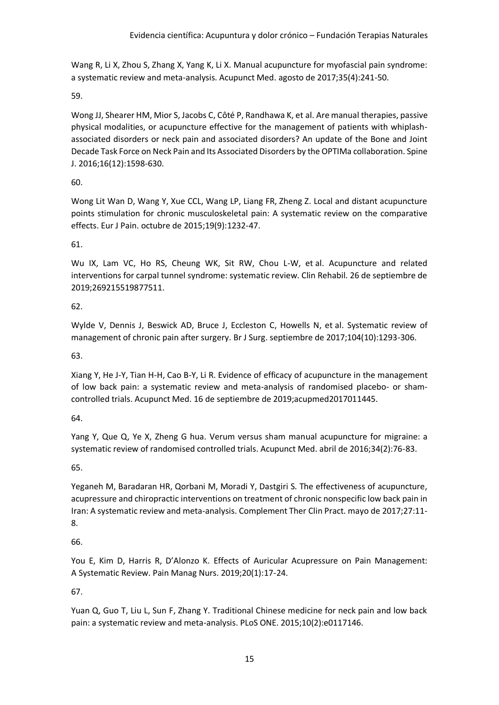Wang R, Li X, Zhou S, Zhang X, Yang K, Li X. Manual acupuncture for myofascial pain syndrome: a systematic review and meta-analysis. Acupunct Med. agosto de 2017;35(4):241-50.

59.

Wong JJ, Shearer HM, Mior S, Jacobs C, Côté P, Randhawa K, et al. Are manual therapies, passive physical modalities, or acupuncture effective for the management of patients with whiplashassociated disorders or neck pain and associated disorders? An update of the Bone and Joint Decade Task Force on Neck Pain and Its Associated Disorders by the OPTIMa collaboration. Spine J. 2016;16(12):1598-630.

#### 60.

Wong Lit Wan D, Wang Y, Xue CCL, Wang LP, Liang FR, Zheng Z. Local and distant acupuncture points stimulation for chronic musculoskeletal pain: A systematic review on the comparative effects. Eur J Pain. octubre de 2015;19(9):1232-47.

61.

Wu IX, Lam VC, Ho RS, Cheung WK, Sit RW, Chou L-W, et al. Acupuncture and related interventions for carpal tunnel syndrome: systematic review. Clin Rehabil. 26 de septiembre de 2019;269215519877511.

#### 62.

Wylde V, Dennis J, Beswick AD, Bruce J, Eccleston C, Howells N, et al. Systematic review of management of chronic pain after surgery. Br J Surg. septiembre de 2017;104(10):1293-306.

63.

Xiang Y, He J-Y, Tian H-H, Cao B-Y, Li R. Evidence of efficacy of acupuncture in the management of low back pain: a systematic review and meta-analysis of randomised placebo- or shamcontrolled trials. Acupunct Med. 16 de septiembre de 2019;acupmed2017011445.

64.

Yang Y, Que Q, Ye X, Zheng G hua. Verum versus sham manual acupuncture for migraine: a systematic review of randomised controlled trials. Acupunct Med. abril de 2016;34(2):76-83.

65.

Yeganeh M, Baradaran HR, Qorbani M, Moradi Y, Dastgiri S. The effectiveness of acupuncture, acupressure and chiropractic interventions on treatment of chronic nonspecific low back pain in Iran: A systematic review and meta-analysis. Complement Ther Clin Pract. mayo de 2017;27:11- 8.

66.

You E, Kim D, Harris R, D'Alonzo K. Effects of Auricular Acupressure on Pain Management: A Systematic Review. Pain Manag Nurs. 2019;20(1):17-24.

67.

Yuan Q, Guo T, Liu L, Sun F, Zhang Y. Traditional Chinese medicine for neck pain and low back pain: a systematic review and meta-analysis. PLoS ONE. 2015;10(2):e0117146.